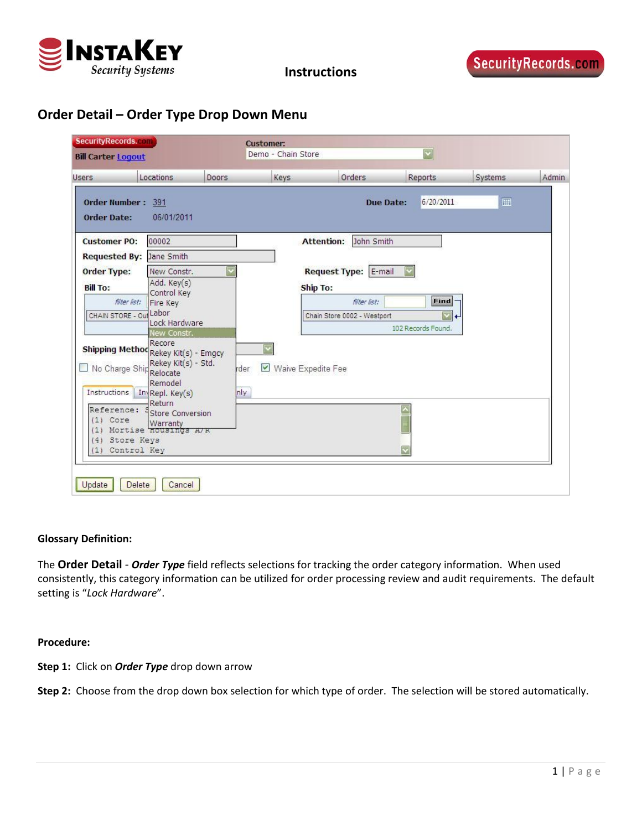

**Instructions**

# **Order Detail – Order Type Drop Down Menu**

| <b>SecurityRecords.com</b><br><b>Bill Carter Logout</b>    |                                                                                                                                               |       | <b>Customer:</b><br>Demo - Chain Store |                                                                 |                  | $\overline{\mathbf{v}}$                                      |         |       |
|------------------------------------------------------------|-----------------------------------------------------------------------------------------------------------------------------------------------|-------|----------------------------------------|-----------------------------------------------------------------|------------------|--------------------------------------------------------------|---------|-------|
| <b>Users</b>                                               | Locations                                                                                                                                     | Doors | Keys                                   | Orders                                                          |                  | Reports                                                      | Systems | Admin |
| Order Number: 391<br><b>Order Date:</b>                    | 06/01/2011                                                                                                                                    |       |                                        |                                                                 | <b>Due Date:</b> | 6/20/2011                                                    | 圖       |       |
| <b>Customer PO:</b><br><b>Requested By:</b>                | 00002<br>Jane Smith                                                                                                                           |       |                                        | <b>Attention:</b>                                               | John Smith       |                                                              |         |       |
| <b>Order Type:</b><br><b>Bill To:</b><br>CHAIN STORE - Out | New Constr.<br>Add. Key(s)<br>Control Key<br>filter list:<br>Fire Key<br>Labor<br>Lock Hardware<br>New Constr.<br>Recore                      |       |                                        | Request Type: E-mail<br>Ship To:<br>Chain Store 0002 - Westport | filter list:     | Find<br>$\overline{\mathbf{v}}$<br>l 4<br>102 Records Found. |         |       |
| Reference:                                                 | Shipping Method Rekey Kit(s) - Emgcy<br>Rekey Kit(s) - Std.<br>No Charge Ship Relocate<br>Remodel<br>Instructions   In Repl. Key(s)<br>Return |       | $\blacktriangledown$<br>rder<br>nly    | Waive Expedite Fee                                              |                  |                                                              |         |       |
| (1)<br>Core<br>(1)<br>(4)                                  | Store Conversion<br>Warranty<br>Mortise <b>Housings</b> A/K<br>Store Keys<br>(1) Control Key                                                  |       |                                        |                                                                 |                  |                                                              |         |       |
| Update                                                     | <b>Delete</b><br>Cancel                                                                                                                       |       |                                        |                                                                 |                  |                                                              |         |       |

## **Glossary Definition:**

The **Order Detail** ‐ *Order Type* field reflects selections for tracking the order category information. When used consistently, this category information can be utilized for order processing review and audit requirements. The default setting is "*Lock Hardware*".

### **Procedure:**

**Step 1:** Click on *Order Type* drop down arrow

**Step 2:** Choose from the drop down box selection for which type of order. The selection will be stored automatically.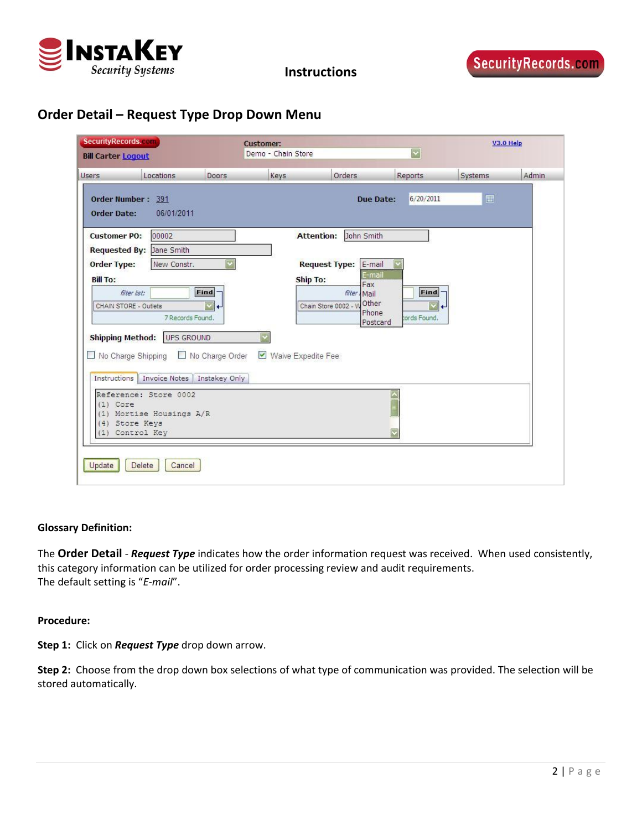

# **Order Detail – Request Type Drop Down Menu**

| <b>SecurityRecords.com</b><br><b>Bill Carter Logout</b>                        |                                                                      |                                                  | <b>Customer:</b><br>Demo - Chain Store |                                                                                                                      |                                      |         | V3.0 Help |  |
|--------------------------------------------------------------------------------|----------------------------------------------------------------------|--------------------------------------------------|----------------------------------------|----------------------------------------------------------------------------------------------------------------------|--------------------------------------|---------|-----------|--|
| <b>Users</b>                                                                   | Locations                                                            | Doors                                            | Keys                                   | Orders                                                                                                               | Reports                              | Systems | Admin     |  |
| Order Number: 391<br><b>Order Date:</b>                                        | 06/01/2011                                                           |                                                  |                                        | <b>Due Date:</b>                                                                                                     | 6/20/2011                            | 圃       |           |  |
| <b>Customer PO:</b>                                                            | 00002<br>Requested By: Jane Smith                                    |                                                  |                                        | John Smith<br><b>Attention:</b>                                                                                      |                                      |         |           |  |
| <b>Order Type:</b><br><b>Bill To:</b><br>filter list:<br>CHAIN STORE - Outlets | New Constr.<br>7 Records Found.                                      | Find<br>₹<br>$\leftarrow$                        | Ship To:                               | <b>Request Type:</b><br>E-mail<br>E-mail<br>Fax<br>filter Mail<br>Other<br>Chain Store 0002 - 1<br>Phone<br>Postcard | Find<br>$\leftarrow$<br>tords Found. |         |           |  |
| <b>Shipping Method:</b><br>□ No Charge Shipping<br>Instructions                | UPS GROUND                                                           | No Charge Order<br>Invoice Notes   Instakey Only | Waive Expedite Fee                     |                                                                                                                      |                                      |         |           |  |
| $(1)$ Core<br>(4) Store Keys                                                   | Reference: Store 0002<br>(1) Mortise Housings A/R<br>(1) Control Key |                                                  |                                        |                                                                                                                      |                                      |         |           |  |

## **Glossary Definition:**

The **Order Detail** ‐ *Request Type* indicates how the order information request was received. When used consistently, this category information can be utilized for order processing review and audit requirements. The default setting is "*E‐mail*".

### **Procedure:**

**Step 1:** Click on *Request Type* drop down arrow.

**Step 2:** Choose from the drop down box selections of what type of communication was provided. The selection will be stored automatically.